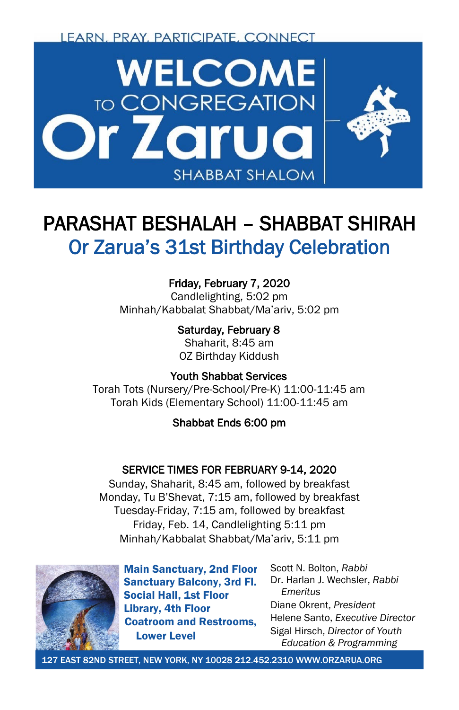**LEARN, PRAY, PARTICIPATE, CONNECT** 



## PARASHAT BESHALAH – SHABBAT SHIRAH Or Zarua's 31st Birthday Celebration

### Friday, February 7, 2020

Candlelighting, 5:02 pm Minhah/Kabbalat Shabbat/Ma'ariv, 5:02 pm

> Saturday, February 8 Shaharit, 8:45 am OZ Birthday Kiddush

Youth Shabbat Services Torah Tots (Nursery/Pre-School/Pre-K) 11:00-11:45 am Torah Kids (Elementary School) 11:00-11:45 am

### Shabbat Ends 6:00 pm

### SERVICE TIMES FOR FEBRUARY 9-14, 2020

Sunday, Shaharit, 8:45 am, followed by breakfast Monday, Tu B'Shevat, 7:15 am, followed by breakfast Tuesday-Friday, 7:15 am, followed by breakfast Friday, Feb. 14, Candlelighting 5:11 pm Minhah/Kabbalat Shabbat/Ma'ariv, 5:11 pm



Main Sanctuary, 2nd Floor Sanctuary Balcony, 3rd Fl. Social Hall, 1st Floor Library, 4th Floor Coatroom and Restrooms, Lower Level

Scott N. Bolton, *Rabbi* Dr. Harlan J. Wechsler, *Rabbi Emeritus* Diane Okrent, *President* Helene Santo, *Executive Director* Sigal Hirsch, *Director of Youth Education & Programming*

127 EAST 82ND STREET, NEW YORK, NY 10028 212.452.2310 WWW.ORZARUA.ORG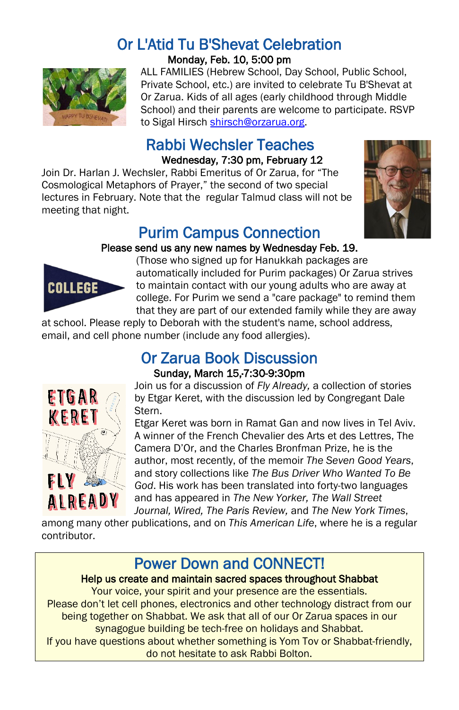# Or L'Atid Tu B'Shevat Celebration Monday, Feb. 10, 5:00 pm



ALL FAMILIES (Hebrew School, Day School, Public School, Private School, etc.) are invited to celebrate Tu B'Shevat at Or Zarua. Kids of all ages (early childhood through Middle School) and their parents are welcome to participate. RSVP to Sigal Hirsc[h shirsch@orzarua.org.](mailto:shirsch@orzarua.org)

# Rabbi Wechsler Teaches<br>Wednesday, 7:30 pm, February 12

Join Dr. Harlan J. Wechsler, Rabbi Emeritus of Or Zarua, for "The Cosmological Metaphors of Prayer," the second of two special lectures in February. Note that the regular Talmud class will not be meeting that night.



# **Purim Campus Connection**<br>Please send us any new names by Wednesday Feb. 19.



(Those who signed up for Hanukkah packages are automatically included for Purim packages) Or Zarua strives to maintain contact with our young adults who are away at college. For Purim we send a "care package" to remind them that they are part of our extended family while they are away

at school. Please reply to Deborah with the student's name, school address, email, and cell phone number (include any food allergies).

# Or Zarua Book Discussion Sunday, March 15,·7:30-9:30pm



Join us for a discussion of *Fly Already,* a collection of stories by Etgar Keret, with the discussion led by Congregant Dale Stern.

Etgar Keret was born in Ramat Gan and now lives in Tel Aviv. A winner of the French Chevalier des Arts et des Lettres, The Camera D'Or, and the Charles Bronfman Prize, he is the author, most recently, of the memoir *The Seven Good Years*, and story collections like *The Bus Driver Who Wanted To Be God*. His work has been translated into forty-two languages and has appeared in *The New Yorker, The Wall Street Journal, Wired, The Paris Review,* and *The New York Times*,

among many other publications, and on *This American Life*, where he is a regular contributor.

# Power Down and CONNECT! Help us create and maintain sacred spaces throughout Shabbat

Your voice, your spirit and your presence are the essentials. Please don't let cell phones, electronics and other technology distract from our being together on Shabbat. We ask that all of our Or Zarua spaces in our synagogue building be tech-free on holidays and Shabbat. If you have questions about whether something is Yom Tov or Shabbat-friendly, do not hesitate to ask Rabbi Bolton.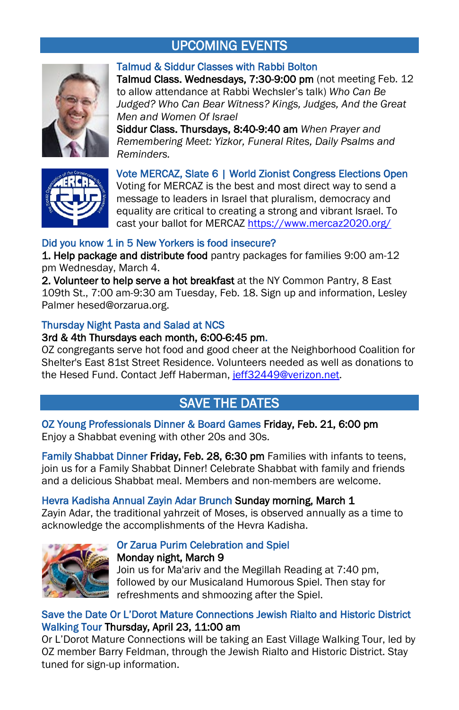## UPCOMING EVENTS



#### Talmud & Siddur Classes with Rabbi Bolton

Talmud Class. Wednesdays, 7:30-9:00 pm (not meeting Feb. 12 to allow attendance at Rabbi Wechsler's talk) *Who Can Be Judged? Who Can Bear Witness? Kings, Judges, And the Great Men and Women Of Israel*

Siddur Class. Thursdays, 8:40-9:40 am *When Prayer and Remembering Meet: Yizkor, Funeral Rites, Daily Psalms and Reminders.*



Vote MERCAZ, Slate 6 | World Zionist Congress Elections Open Voting for MERCAZ is the best and most direct way to send a message to leaders in Israel that pluralism, democracy and equality are critical to creating a strong and vibrant Israel. To cast your ballot for MERCAZ <https://www.mercaz2020.org/>

#### Did you know 1 in 5 New Yorkers is food insecure?

1. Help package and distribute food pantry packages for families 9:00 am-12 pm Wednesday, March 4.

2. Volunteer to help serve a hot breakfast at the NY Common Pantry, 8 East 109th St., 7:00 am-9:30 am Tuesday, Feb. 18. Sign up and information, Lesley Palmer hesed@orzarua.org.

#### Thursday Night Pasta and Salad at NCS

#### 3rd & 4th Thursdays each month, 6:00-6:45 pm.

OZ congregants serve hot food and good cheer at the Neighborhood Coalition for Shelter's East 81st Street Residence. Volunteers needed as well as donations to the Hesed Fund. Contact Jeff Haberman, [jeff32449@verizon.net.](mailto:jeff32449@verizon.net)

### SAVE THE DATES

OZ Young Professionals Dinner & Board Games Friday, Feb. 21, 6:00 pm Enjoy a Shabbat evening with other 20s and 30s.

Family Shabbat Dinner Friday, Feb. 28, 6:30 pm Families with infants to teens, join us for a Family Shabbat Dinner! Celebrate Shabbat with family and friends and a delicious Shabbat meal. Members and non-members are welcome.

#### Hevra Kadisha Annual Zayin Adar Brunch Sunday morning, March 1

Zayin Adar, the traditional yahrzeit of Moses, is observed annually as a time to acknowledge the accomplishments of the Hevra Kadisha.



### Or Zarua Purim Celebration and Spiel Monday night, March 9

Join us for Ma'ariv and the Megillah Reading at 7:40 pm, followed by our Musicaland Humorous Spiel. Then stay for refreshments and shmoozing after the Spiel.

#### Save the Date Or L'Dorot Mature Connections Jewish Rialto and Historic District Walking Tour Thursday, April 23, 11:00 am

Or L'Dorot Mature Connections will be taking an East Village Walking Tour, led by OZ member Barry Feldman, through the Jewish Rialto and Historic District. Stay tuned for sign-up information.